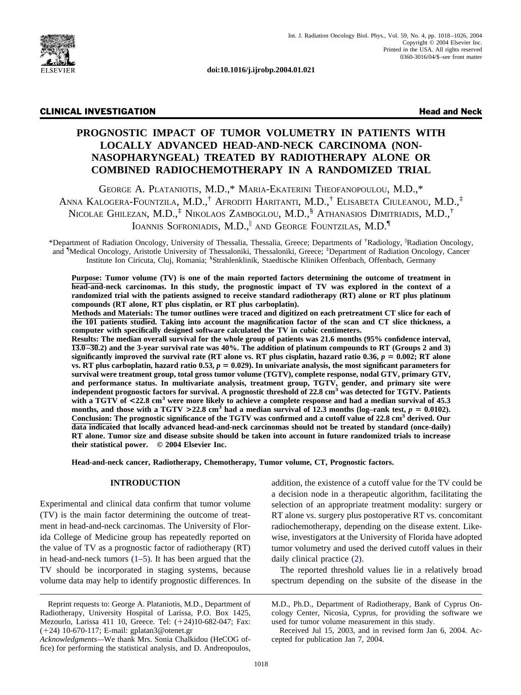

**doi:10.1016/j.ijrobp.2004.01.021**

# CLINICAL INVESTIGATION Head and Neck

# **PROGNOSTIC IMPACT OF TUMOR VOLUMETRY IN PATIENTS WITH LOCALLY ADVANCED HEAD-AND-NECK CARCINOMA (NON-NASOPHARYNGEAL) TREATED BY RADIOTHERAPY ALONE OR COMBINED RADIOCHEMOTHERAPY IN A RANDOMIZED TRIAL**

GEORGE A. PLATANIOTIS, M.D.,\* MARIA-EKATERINI THEOFANOPOULOU, M.D.,\* ANNA KALOGERA-FOUNTZILA, M.D.,† AFRODITI HARITANTI, M.D.,† ELISABETA CIULEANOU, M.D.,‡ NICOLAE GHILEZAN, M.D.,<sup>‡</sup> NIKOLAOS ZAMBOGLOU, M.D.,<sup>§</sup> ATHANASIOS DIMITRIADIS, M.D.,<sup>†</sup> IOANNIS SOFRONIADIS, M.D.,<sup>||</sup> AND GEORGE FOUNTZILAS, M.D.<sup>1|</sup>

\*Department of Radiation Oncology, University of Thessalia, Thessalia, Greece; Departments of † Radiology, Radiation Oncology, and <sup>¶</sup>Medical Oncology, Aristotle University of Thessaloniki, Thessaloniki, Greece; <sup>‡</sup>Department of Radiation Oncology, Cancer Institute Ion Ciricuta, Cluj, Romania; § Strahlenklinik, Staedtische Kliniken Offenbach, Offenbach, Germany

**Purpose: Tumor volume (TV) is one of the main reported factors determining the outcome of treatment in head-and-neck carcinomas. In this study, the prognostic impact of TV was explored in the context of a randomized trial with the patients assigned to receive standard radiotherapy (RT) alone or RT plus platinum compounds (RT alone, RT plus cisplatin, or RT plus carboplatin).**

**Methods and Materials: The tumor outlines were traced and digitized on each pretreatment CT slice for each of the 101 patients studied. Taking into account the magnification factor of the scan and CT slice thickness, a computer with specifically designed software calculated the TV in cubic centimeters.**

**Results: The median overall survival for the whole group of patients was 21.6 months (95% confidence interval, 13.0–30.2) and the 3-year survival rate was 40%. The addition of platinum compounds to RT (Groups 2 and 3) significantly improved the survival rate (RT alone vs. RT plus cisplatin, hazard ratio**  $0.36$ **,**  $p = 0.002$ **; RT alone vs. RT plus carboplatin, hazard ratio 0.53,**  $p = 0.029$ . In univariate analysis, the most significant parameters for **survival were treatment group, total gross tumor volume (TGTV), complete response, nodal GTV, primary GTV,** and performance status. In multivariate analysis, treatment group, TGTV, gender, and primary site were<br>independent prognostic factors for survival. A prognostic threshold of 22.8 cm<sup>3</sup> was detected for TGTV. Patients with a TGTV of  $\lt$ 22.8 cm<sup>3</sup> were more likely to achieve a complete response and had a median survival of 45.3 months, and those with a TGTV  $>22.8$  cm<sup>3</sup> had a median survival of 12.3 months (log–rank test,  $p = 0.0102$ ). **Conclusion: The prognostic significance of the TGTV was confirmed and a cutoff value of 22.8 cm3 derived. Our data indicated that locally advanced head-and-neck carcinomas should not be treated by standard (once-daily) RT alone. Tumor size and disease subsite should be taken into account in future randomized trials to increase their statistical power. © 2004 Elsevier Inc.**

**Head-and-neck cancer, Radiotherapy, Chemotherapy, Tumor volume, CT, Prognostic factors.**

#### **INTRODUCTION**

Experimental and clinical data confirm that tumor volume (TV) is the main factor determining the outcome of treatment in head-and-neck carcinomas. The University of Florida College of Medicine group has repeatedly reported on the value of TV as a prognostic factor of radiotherapy (RT) in head-and-neck tumors  $(1–5)$ . It has been argued that the TV should be incorporated in staging systems, because volume data may help to identify prognostic differences. In addition, the existence of a cutoff value for the TV could be a decision node in a therapeutic algorithm, facilitating the selection of an appropriate treatment modality: surgery or RT alone vs. surgery plus postoperative RT vs. concomitant radiochemotherapy, depending on the disease extent. Likewise, investigators at the University of Florida have adopted tumor volumetry and used the derived cutoff values in their daily clinical practice [\(2\).](#page-8-0)

The reported threshold values lie in a relatively broad spectrum depending on the subsite of the disease in the

Reprint requests to: George A. Plataniotis, M.D., Department of Radiotherapy, University Hospital of Larissa, P.O. Box 1425, Mezourlo, Larissa 411 10, Greece. Tel: (+24)10-682-047; Fax: (24) 10-670-117; E-mail: gplatan3@otenet.gr

*Acknowledgments—*We thank Mrs. Sonia Chalkidou (HeCOG office) for performing the statistical analysis, and D. Andreopoulos,

M.D., Ph.D., Department of Radiotherapy, Bank of Cyprus Oncology Center, Nicosia, Cyprus, for providing the software we used for tumor volume measurement in this study.

Received Jul 15, 2003, and in revised form Jan 6, 2004. Accepted for publication Jan 7, 2004.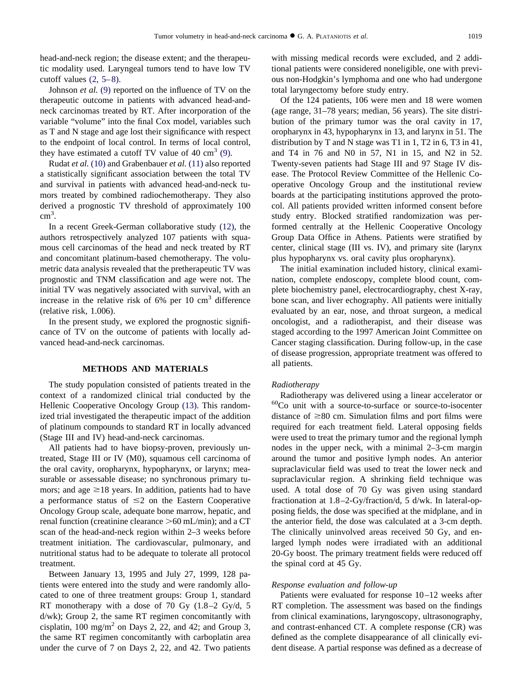head-and-neck region; the disease extent; and the therapeutic modality used. Laryngeal tumors tend to have low TV cutoff values  $(2, 5-8)$ .

Johnson *et al.* [\(9\)](#page-8-0) reported on the influence of TV on the therapeutic outcome in patients with advanced head-andneck carcinomas treated by RT. After incorporation of the variable "volume" into the final Cox model, variables such as T and N stage and age lost their significance with respect to the endpoint of local control. In terms of local control, they have estimated a cutoff TV value of 40  $\text{cm}^3$  [\(9\).](#page-8-0)

Rudat *et al.* [\(10\)](#page-8-0) and Grabenbauer *et al.* [\(11\)](#page-8-0) also reported a statistically significant association between the total TV and survival in patients with advanced head-and-neck tumors treated by combined radiochemotherapy. They also derived a prognostic TV threshold of approximately 100 cm<sup>3</sup> .

In a recent Greek-German collaborative study [\(12\),](#page-8-0) the authors retrospectively analyzed 107 patients with squamous cell carcinomas of the head and neck treated by RT and concomitant platinum-based chemotherapy. The volumetric data analysis revealed that the pretherapeutic TV was prognostic and TNM classification and age were not. The initial TV was negatively associated with survival, with an increase in the relative risk of  $6\%$  per 10 cm<sup>3</sup> difference (relative risk, 1.006).

In the present study, we explored the prognostic significance of TV on the outcome of patients with locally advanced head-and-neck carcinomas.

# **METHODS AND MATERIALS**

The study population consisted of patients treated in the context of a randomized clinical trial conducted by the Hellenic Cooperative Oncology Group [\(13\).](#page-8-0) This randomized trial investigated the therapeutic impact of the addition of platinum compounds to standard RT in locally advanced (Stage III and IV) head-and-neck carcinomas.

All patients had to have biopsy-proven, previously untreated, Stage III or IV (M0), squamous cell carcinoma of the oral cavity, oropharynx, hypopharynx, or larynx; measurable or assessable disease; no synchronous primary tumors; and age  $\geq 18$  years. In addition, patients had to have a performance status of  $\leq 2$  on the Eastern Cooperative Oncology Group scale, adequate bone marrow, hepatic, and renal function (creatinine clearance  $>60$  mL/min); and a CT scan of the head-and-neck region within 2–3 weeks before treatment initiation. The cardiovascular, pulmonary, and nutritional status had to be adequate to tolerate all protocol treatment.

Between January 13, 1995 and July 27, 1999, 128 patients were entered into the study and were randomly allocated to one of three treatment groups: Group 1, standard RT monotherapy with a dose of 70 Gy (1.8–2 Gy/d, 5 d/wk); Group 2, the same RT regimen concomitantly with cisplatin, 100 mg/m<sup>2</sup> on Days 2, 22, and 42; and Group 3, the same RT regimen concomitantly with carboplatin area under the curve of 7 on Days 2, 22, and 42. Two patients with missing medical records were excluded, and 2 additional patients were considered noneligible, one with previous non-Hodgkin's lymphoma and one who had undergone total laryngectomy before study entry.

Of the 124 patients, 106 were men and 18 were women (age range, 31–78 years; median, 56 years). The site distribution of the primary tumor was the oral cavity in 17, oropharynx in 43, hypopharynx in 13, and larynx in 51. The distribution by T and N stage was T1 in 1, T2 in 6, T3 in 41, and T4 in 76 and N0 in 57, N1 in 15, and N2 in 52. Twenty-seven patients had Stage III and 97 Stage IV disease. The Protocol Review Committee of the Hellenic Cooperative Oncology Group and the institutional review boards at the participating institutions approved the protocol. All patients provided written informed consent before study entry. Blocked stratified randomization was performed centrally at the Hellenic Cooperative Oncology Group Data Office in Athens. Patients were stratified by center, clinical stage (III vs. IV), and primary site (larynx plus hypopharynx vs. oral cavity plus oropharynx).

The initial examination included history, clinical examination, complete endoscopy, complete blood count, complete biochemistry panel, electrocardiography, chest X-ray, bone scan, and liver echography. All patients were initially evaluated by an ear, nose, and throat surgeon, a medical oncologist, and a radiotherapist, and their disease was staged according to the 1997 American Joint Committee on Cancer staging classification. During follow-up, in the case of disease progression, appropriate treatment was offered to all patients.

#### *Radiotherapy*

Radiotherapy was delivered using a linear accelerator or <sup>60</sup>Co unit with a source-to-surface or source-to-isocenter distance of  $\geq 80$  cm. Simulation films and port films were required for each treatment field. Lateral opposing fields were used to treat the primary tumor and the regional lymph nodes in the upper neck, with a minimal 2–3-cm margin around the tumor and positive lymph nodes. An anterior supraclavicular field was used to treat the lower neck and supraclavicular region. A shrinking field technique was used. A total dose of 70 Gy was given using standard fractionation at 1.8–2-Gy/fraction/d, 5 d/wk. In lateral-opposing fields, the dose was specified at the midplane, and in the anterior field, the dose was calculated at a 3-cm depth. The clinically uninvolved areas received 50 Gy, and enlarged lymph nodes were irradiated with an additional 20-Gy boost. The primary treatment fields were reduced off the spinal cord at 45 Gy.

#### *Response evaluation and follow-up*

Patients were evaluated for response 10–12 weeks after RT completion. The assessment was based on the findings from clinical examinations, laryngoscopy, ultrasonography, and contrast-enhanced CT. A complete response (CR) was defined as the complete disappearance of all clinically evident disease. A partial response was defined as a decrease of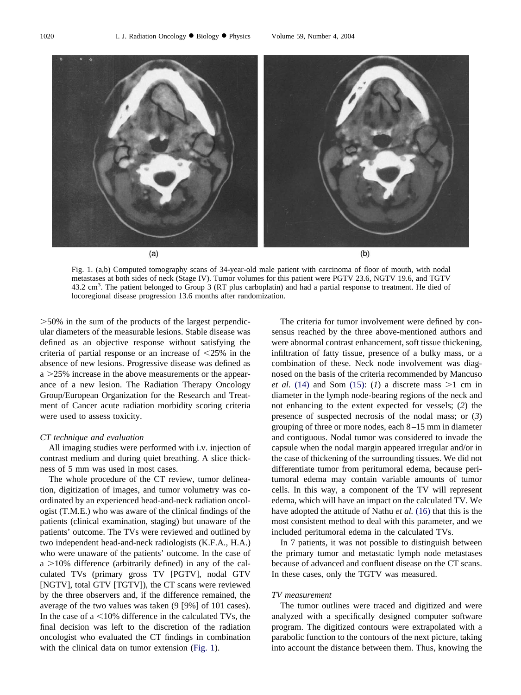

Fig. 1. (a,b) Computed tomography scans of 34-year-old male patient with carcinoma of floor of mouth, with nodal metastases at both sides of neck (Stage IV). Tumor volumes for this patient were PGTV 23.6, NGTV 19.6, and TGTV 43.2 cm<sup>3</sup>. The patient belonged to Group 3 (RT plus carboplatin) and had a partial response to treatment. He died of locoregional disease progression 13.6 months after randomization.

-50% in the sum of the products of the largest perpendicular diameters of the measurable lesions. Stable disease was defined as an objective response without satisfying the criteria of partial response or an increase of  $\leq$ 25% in the absence of new lesions. Progressive disease was defined as  $a > 25\%$  increase in the above measurements or the appearance of a new lesion. The Radiation Therapy Oncology Group/European Organization for the Research and Treatment of Cancer acute radiation morbidity scoring criteria were used to assess toxicity.

### *CT technique and evaluation*

All imaging studies were performed with i.v. injection of contrast medium and during quiet breathing. A slice thickness of 5 mm was used in most cases.

The whole procedure of the CT review, tumor delineation, digitization of images, and tumor volumetry was coordinated by an experienced head-and-neck radiation oncologist (T.M.E.) who was aware of the clinical findings of the patients (clinical examination, staging) but unaware of the patients' outcome. The TVs were reviewed and outlined by two independent head-and-neck radiologists (K.F.A., H.A.) who were unaware of the patients' outcome. In the case of  $a > 10\%$  difference (arbitrarily defined) in any of the calculated TVs (primary gross TV [PGTV], nodal GTV [NGTV], total GTV [TGTV]), the CT scans were reviewed by the three observers and, if the difference remained, the average of the two values was taken (9 [9%] of 101 cases). In the case of a  $\leq 10\%$  difference in the calculated TVs, the final decision was left to the discretion of the radiation oncologist who evaluated the CT findings in combination with the clinical data on tumor extension (Fig. 1).

The criteria for tumor involvement were defined by consensus reached by the three above-mentioned authors and were abnormal contrast enhancement, soft tissue thickening, infiltration of fatty tissue, presence of a bulky mass, or a combination of these. Neck node involvement was diagnosed on the basis of the criteria recommended by Mancuso *et al.* [\(14\)](#page-8-0) and Som [\(15\):](#page-8-0) (*1*) a discrete mass  $>1$  cm in diameter in the lymph node-bearing regions of the neck and not enhancing to the extent expected for vessels; (*2*) the presence of suspected necrosis of the nodal mass; or (*3*) grouping of three or more nodes, each 8–15 mm in diameter and contiguous. Nodal tumor was considered to invade the capsule when the nodal margin appeared irregular and/or in the case of thickening of the surrounding tissues. We did not differentiate tumor from peritumoral edema, because peritumoral edema may contain variable amounts of tumor cells. In this way, a component of the TV will represent edema, which will have an impact on the calculated TV. We have adopted the attitude of Nathu *et al.* [\(16\)](#page-8-0) that this is the most consistent method to deal with this parameter, and we included peritumoral edema in the calculated TVs.

In 7 patients, it was not possible to distinguish between the primary tumor and metastatic lymph node metastases because of advanced and confluent disease on the CT scans. In these cases, only the TGTV was measured.

## *TV measurement*

The tumor outlines were traced and digitized and were analyzed with a specifically designed computer software program. The digitized contours were extrapolated with a parabolic function to the contours of the next picture, taking into account the distance between them. Thus, knowing the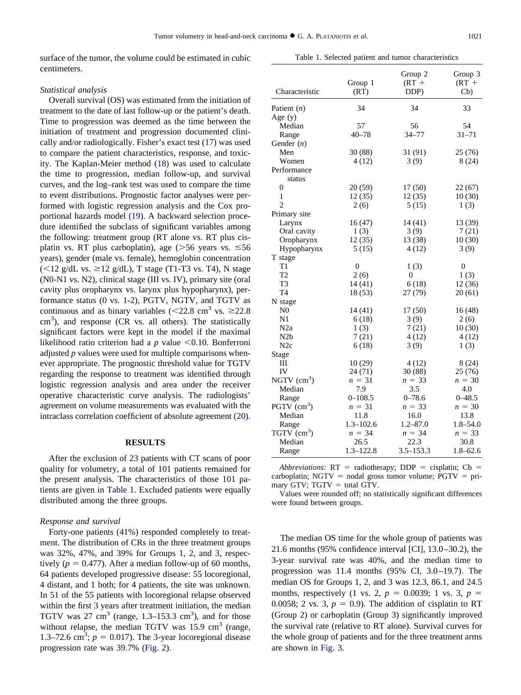surface of the tumor, the volume could be estimated in cubic centimeters.

Table 1. Selected patient and tumor characteristics

### *Statistical analysis*

Overall survival (OS) was estimated from the initiation of treatment to the date of last follow-up or the patient's death. Time to progression was deemed as the time between the initiation of treatment and progression documented clinically and/or radiologically. Fisher's exact test [\(17\)](#page-8-0) was used to compare the patient characteristics, response, and toxicity. The Kaplan-Meier method [\(18\)](#page-8-0) was used to calculate the time to progression, median follow-up, and survival curves, and the log–rank test was used to compare the time to event distributions. Prognostic factor analyses were performed with logistic regression analysis and the Cox proportional hazards model [\(19\).](#page-8-0) A backward selection procedure identified the subclass of significant variables among the following: treatment group (RT alone vs. RT plus cisplatin vs. RT plus carboplatin), age ( $> 56$  years vs.  $\leq 56$ years), gender (male vs. female), hemoglobin concentration  $(<12$  g/dL vs.  $\geq$ 12 g/dL), T stage (T1-T3 vs. T4), N stage (N0-N1 vs. N2), clinical stage (III vs. IV), primary site (oral cavity plus oropharynx vs. larynx plus hypopharynx), performance status (0 vs. 1-2), PGTV, NGTV, and TGTV as continuous and as binary variables ( $\leq$ 22.8 cm<sup>3</sup> vs.  $\geq$ 22.8  $\text{cm}^3$ ), and response (CR vs. all others). The statistically significant factors were kept in the model if the maximal likelihood ratio criterion had a  $p$  value  $\leq 0.10$ . Bonferroni adjusted *p* values were used for multiple comparisons whenever appropriate. The prognostic threshold value for TGTV regarding the response to treatment was identified through logistic regression analysis and area under the receiver operative characteristic curve analysis. The radiologists' agreement on volume measurements was evaluated with the intraclass correlation coefficient of absolute agreement [\(20\).](#page-8-0)

### **RESULTS**

After the exclusion of 23 patients with CT scans of poor quality for volumetry, a total of 101 patients remained for the present analysis. The characteristics of those 101 patients are given in Table 1. Excluded patients were equally distributed among the three groups.

### *Response and survival*

Forty-one patients (41%) responded completely to treatment. The distribution of CRs in the three treatment groups was 32%, 47%, and 39% for Groups 1, 2, and 3, respectively ( $p = 0.477$ ). After a median follow-up of 60 months, 64 patients developed progressive disease: 55 locoregional, 4 distant, and 1 both; for 4 patients, the site was unknown. In 51 of the 55 patients with locoregional relapse observed within the first 3 years after treatment initiation, the median TGTV was 27 cm<sup>3</sup> (range, 1.3–153.3 cm<sup>3</sup>), and for those without relapse, the median TGTV was  $15.9 \text{ cm}^3$  (range, 1.3–72.6 cm<sup>3</sup>;  $p = 0.017$ ). The 3-year locoregional disease progression rate was 39.7% [\(Fig. 2\)](#page-4-0).

|                           | Group 1        | Group 2<br>$(RT +$ | Group 3<br>$(RT +$ |
|---------------------------|----------------|--------------------|--------------------|
| Characteristic            | (RT)           | DDP)               | Cb)                |
| Patient (n)               | 34             | 34                 | 33                 |
| Age $(y)$                 |                |                    |                    |
| Median                    | 57             | 56                 | 54                 |
| Range                     | $40 - 78$      | $34 - 77$          | $31 - 71$          |
| Gender $(n)$              |                |                    |                    |
| Men                       | 30(88)         | 31 (91)            | 25(76)             |
| Women                     | 4(12)          | 3(9)               | 8(24)              |
| Performance               |                |                    |                    |
| status                    |                |                    |                    |
| 0                         | 20 (59)        | 17(50)             | 22(67)             |
| $\mathbf{1}$              | 12(35)         | 12(35)             | 10(30)             |
| $\overline{c}$            | 2(6)           | 5(15)              | 1(3)               |
| Primary site              |                |                    |                    |
| Larynx                    | 16(47)         | 14 (41)            | 13 (39)            |
| Oral cavity               | 1(3)           | 3(9)               | 7(21)              |
| Oropharynx                | 12(35)         | 13 (38)            | 10(30)             |
| Hypopharynx               | 5(15)          | 4(12)              | 3(9)               |
| T stage                   |                |                    |                    |
| T1                        | $\overline{0}$ | 1(3)               | $\overline{0}$     |
| T <sub>2</sub>            | 2(6)           | $\overline{0}$     | 1(3)               |
| T <sub>3</sub>            | 14(41)         | 6(18)              | 12(36)             |
| T <sub>4</sub>            | 18 (53)        | 27(79)             | 20(61)             |
| N stage                   |                |                    |                    |
| N <sub>0</sub>            | 14(41)         | 17(50)             | 16(48)             |
| N1                        | 6(18)          | 3(9)               | 2(6)               |
| N <sub>2</sub> a          | 1(3)           | 7(21)              | 10(30)             |
| N <sub>2</sub> b          | 7(21)          | 4(12)              | 4(12)              |
| N2c                       | 6(18)          | 3(9)               | 1(3)               |
| Stage<br>Ш                | 10(29)         | 4(12)              | 8(24)              |
| IV                        | 24(71)         | 30 (88)            | 25 (76)            |
| NGTV $(cm3)$              | $n = 31$       | $n = 33$           | $n = 30$           |
| Median                    | 7.9            | 3.5                | 4.0                |
| Range                     | $0 - 108.5$    | $0 - 78.6$         | $0 - 48.5$         |
| PGTV $(cm3)$              | $n = 31$       | $n = 33$           | $n = 30$           |
| Median                    | 11.8           | 16.0               | 13.8               |
| Range                     | $1.3 - 102.6$  | $1.2 - 87.0$       | $1.8 - 54.0$       |
| $TGTV$ (cm <sup>3</sup> ) | $n = 34$       | $n = 34$           | $n = 33$           |
| Median                    | 26.5           | 22.3               | 30.8               |
| Range                     | $1.3 - 122.8$  | $3.5 - 153.3$      | $1.8 - 62.6$       |

*Abbreviations:*  $RT =$  radiotherapy;  $DDP =$  cisplatin;  $Cb =$ carboplatin; NGTV = nodal gross tumor volume;  $PGTV = pri$ mary GTV;  $TGTV = total GTV$ .

Values were rounded off; no statistically significant differences were found between groups.

The median OS time for the whole group of patients was 21.6 months (95% confidence interval [CI], 13.0–30.2), the 3-year survival rate was 40%, and the median time to progression was 11.4 months (95% CI, 3.0–19.7). The median OS for Groups 1, 2, and 3 was 12.3, 86.1, and 24.5 months, respectively (1 vs. 2,  $p = 0.0039$ ; 1 vs. 3,  $p =$ 0.0058; 2 vs. 3,  $p = 0.9$ ). The addition of cisplatin to RT (Group 2) or carboplatin (Group 3) significantly improved the survival rate (relative to RT alone). Survival curves for the whole group of patients and for the three treatment arms are shown in [Fig. 3.](#page-4-0)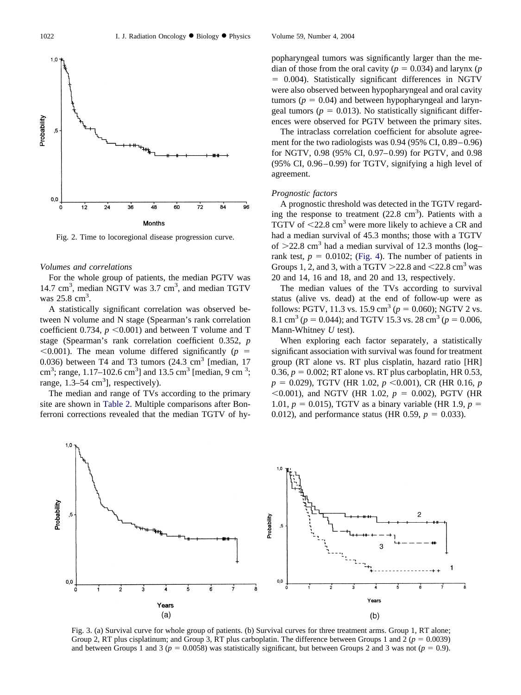<span id="page-4-0"></span>

Fig. 2. Time to locoregional disease progression curve.

## *Volumes and correlations*

For the whole group of patients, the median PGTV was 14.7 cm<sup>3</sup>, median NGTV was 3.7 cm<sup>3</sup>, and median TGTV was 25.8 cm<sup>3</sup>.

A statistically significant correlation was observed between N volume and N stage (Spearman's rank correlation coefficient 0.734,  $p \le 0.001$ ) and between T volume and T stage (Spearman's rank correlation coefficient 0.352, *p*  $(0.001)$ . The mean volume differed significantly ( $p =$ 0.036) between T4 and T3 tumors  $(24.3 \text{ cm}^3)$  [median, 17 cm<sup>3</sup>; range, 1.17–102.6 cm<sup>3</sup>] and 13.5 cm<sup>3</sup> [median, 9 cm<sup>3</sup>; range,  $1.\overline{3} - 54 \text{ cm}^3$ ], respectively).

The median and range of TVs according to the primary site are shown in [Table 2.](#page-5-0) Multiple comparisons after Bonferroni corrections revealed that the median TGTV of hypopharyngeal tumors was significantly larger than the median of those from the oral cavity ( $p = 0.034$ ) and larynx ( $p$  0.004). Statistically significant differences in NGTV were also observed between hypopharyngeal and oral cavity tumors ( $p = 0.04$ ) and between hypopharyngeal and laryngeal tumors ( $p = 0.013$ ). No statistically significant differences were observed for PGTV between the primary sites.

The intraclass correlation coefficient for absolute agreement for the two radiologists was 0.94 (95% CI, 0.89–0.96) for NGTV, 0.98 (95% CI, 0.97–0.99) for PGTV, and 0.98 (95% CI, 0.96–0.99) for TGTV, signifying a high level of agreement.

## *Prognostic factors*

A prognostic threshold was detected in the TGTV regarding the response to treatment  $(22.8 \text{ cm}^3)$ . Patients with a TGTV of  $\leq$ 22.8 cm<sup>3</sup> were more likely to achieve a CR and had a median survival of 45.3 months; those with a TGTV of  $>22.8$  cm<sup>3</sup> had a median survival of 12.3 months (logrank test,  $p = 0.0102$ ; [\(Fig. 4\)](#page-5-0). The number of patients in Groups 1, 2, and 3, with a TGTV  $>$  22.8 and  $<$  22.8 cm<sup>3</sup> was 20 and 14, 16 and 18, and 20 and 13, respectively.

The median values of the TVs according to survival status (alive vs. dead) at the end of follow-up were as follows: PGTV, 11.3 vs. 15.9 cm<sup>3</sup> ( $p = 0.060$ ); NGTV 2 vs. 8.1 cm<sup>3</sup> ( $p = 0.044$ ); and TGTV 15.3 vs. 28 cm<sup>3</sup> ( $p = 0.006$ , Mann-Whitney *U* test).

When exploring each factor separately, a statistically significant association with survival was found for treatment group (RT alone vs. RT plus cisplatin, hazard ratio [HR] 0.36,  $p = 0.002$ ; RT alone vs. RT plus carboplatin, HR 0.53,  $p = 0.029$ ), TGTV (HR 1.02,  $p \le 0.001$ ), CR (HR 0.16,  $p$  $< 0.001$ ), and NGTV (HR 1.02,  $p = 0.002$ ), PGTV (HR 1.01,  $p = 0.015$ ), TGTV as a binary variable (HR 1.9,  $p =$ 0.012), and performance status (HR 0.59,  $p = 0.033$ ).



Fig. 3. (a) Survival curve for whole group of patients. (b) Survival curves for three treatment arms. Group 1, RT alone; Group 2, RT plus cisplatinum; and Group 3, RT plus carboplatin. The difference between Groups 1 and 2 ( $p = 0.0039$ ) and between Groups 1 and 3 ( $p = 0.0058$ ) was statistically significant, but between Groups 2 and 3 was not ( $p = 0.9$ ).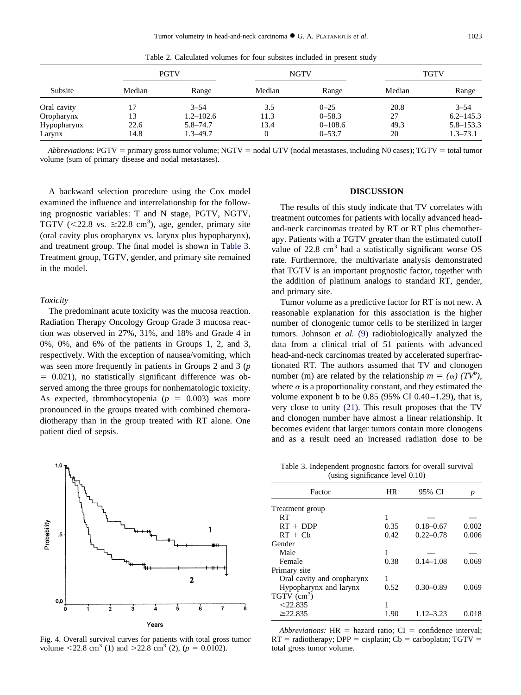<span id="page-5-0"></span>

|             |        | <b>PGTV</b>   |        | <b>NGTV</b> |        | <b>TGTV</b>   |
|-------------|--------|---------------|--------|-------------|--------|---------------|
| Subsite     | Median | Range         | Median | Range       | Median | Range         |
| Oral cavity |        | $3 - 54$      | 3.5    | $0 - 25$    | 20.8   | $3 - 54$      |
| Oropharynx  | 13     | $1.2 - 102.6$ | 11.3   | $0 - 58.3$  | 27     | $6.2 - 145.3$ |
| Hypopharynx | 22.6   | $5.8 - 74.7$  | 13.4   | $0 - 108.6$ | 49.3   | $5.8 - 153.3$ |
| Larynx      | 14.8   | $1.3 - 49.7$  |        | $0 - 53.7$  | 20     | $1.3 - 73.1$  |

Table 2. Calculated volumes for four subsites included in present study

*Abbreviations:* PGTV = primary gross tumor volume; NGTV = nodal GTV (nodal metastases, including N0 cases); TGTV = total tumor volume (sum of primary disease and nodal metastases).

A backward selection procedure using the Cox model examined the influence and interrelationship for the following prognostic variables: T and N stage, PGTV, NGTV, TGTV (<22.8 vs.  $\geq$ 22.8 cm<sup>3</sup>), age, gender, primary site (oral cavity plus oropharynx vs. larynx plus hypopharynx), and treatment group. The final model is shown in Table 3. Treatment group, TGTV, gender, and primary site remained in the model.

#### *Toxicity*

The predominant acute toxicity was the mucosa reaction. Radiation Therapy Oncology Group Grade 3 mucosa reaction was observed in 27%, 31%, and 18% and Grade 4 in 0%, 0%, and 6% of the patients in Groups 1, 2, and 3, respectively. With the exception of nausea/vomiting, which was seen more frequently in patients in Groups 2 and 3 (*p*  $= 0.021$ ), no statistically significant difference was observed among the three groups for nonhematologic toxicity. As expected, thrombocytopenia  $(p = 0.003)$  was more pronounced in the groups treated with combined chemoradiotherapy than in the group treated with RT alone. One patient died of sepsis.



Fig. 4. Overall survival curves for patients with total gross tumor volume <22.8 cm<sup>3</sup> (1) and >22.8 cm<sup>3</sup> (2), ( $p = 0.0102$ ).

# **DISCUSSION**

The results of this study indicate that TV correlates with treatment outcomes for patients with locally advanced headand-neck carcinomas treated by RT or RT plus chemotherapy. Patients with a TGTV greater than the estimated cutoff value of 22.8 cm<sup>3</sup> had a statistically significant worse OS rate. Furthermore, the multivariate analysis demonstrated that TGTV is an important prognostic factor, together with the addition of platinum analogs to standard RT, gender, and primary site.

Tumor volume as a predictive factor for RT is not new. A reasonable explanation for this association is the higher number of clonogenic tumor cells to be sterilized in larger tumors. Johnson *et al.* [\(9\)](#page-8-0) radiobiologically analyzed the data from a clinical trial of 51 patients with advanced head-and-neck carcinomas treated by accelerated superfractionated RT. The authors assumed that TV and clonogen number (m) are related by the relationship  $m = (\alpha) (TV^b)$ , where  $\alpha$  is a proportionality constant, and they estimated the volume exponent b to be  $0.85$  (95% CI 0.40–1.29), that is, very close to unity [\(21\).](#page-8-0) This result proposes that the TV and clonogen number have almost a linear relationship. It becomes evident that larger tumors contain more clonogens and as a result need an increased radiation dose to be

Table 3. Independent prognostic factors for overall survival (using significance level 0.10)

| Factor                     | <b>HR</b> | 95% CI        | p     |
|----------------------------|-----------|---------------|-------|
| Treatment group            |           |               |       |
| RT                         |           |               |       |
| $RT + DDP$                 | 0.35      | $0.18 - 0.67$ | 0.002 |
| $RT + Ch$                  | 0.42      | $0.22 - 0.78$ | 0.006 |
| Gender                     |           |               |       |
| Male                       | 1         |               |       |
| Female                     | 0.38      | $0.14 - 1.08$ | 0.069 |
| Primary site               |           |               |       |
| Oral cavity and oropharynx | 1         |               |       |
| Hypopharynx and larynx     | 0.52      | $0.30 - 0.89$ | 0.069 |
| $TGTV$ (cm <sup>3</sup> )  |           |               |       |
| $<$ 22.835                 |           |               |       |
| $\geq$ 22.835              | 1.90      | $1.12 - 3.23$ | 0.018 |
|                            |           |               |       |

*Abbreviations:*  $HR = hazard ratio$ ;  $CI = confidence interval$ ;  $RT =$  radiotherapy;  $DPP =$  cisplatin;  $Cb =$  carboplatin;  $TGTV =$ total gross tumor volume.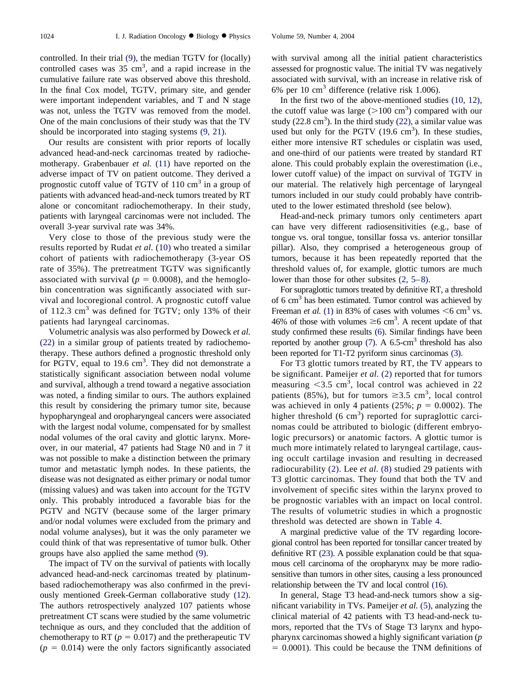controlled. In their trial [\(9\),](#page-8-0) the median TGTV for (locally) controlled cases was  $35 \text{ cm}^3$ , and a rapid increase in the cumulative failure rate was observed above this threshold. In the final Cox model, TGTV, primary site, and gender were important independent variables, and T and N stage was not, unless the TGTV was removed from the model. One of the main conclusions of their study was that the TV should be incorporated into staging systems [\(9, 21\).](#page-8-0)

Our results are consistent with prior reports of locally advanced head-and-neck carcinomas treated by radiochemotherapy. Grabenbauer *et al.* [\(11\)](#page-8-0) have reported on the adverse impact of TV on patient outcome. They derived a prognostic cutoff value of TGTV of  $110 \text{ cm}^3$  in a group of patients with advanced head-and-neck tumors treated by RT alone or concomitant radiochemotherapy. In their study, patients with laryngeal carcinomas were not included. The overall 3-year survival rate was 34%.

Very close to those of the previous study were the results reported by Rudat *et al.* [\(10\)](#page-8-0) who treated a similar cohort of patients with radiochemotherapy (3-year OS rate of 35%). The pretreatment TGTV was significantly associated with survival ( $p = 0.0008$ ), and the hemoglobin concentration was significantly associated with survival and locoregional control. A prognostic cutoff value of 112.3  $\text{cm}^3$  was defined for TGTV; only 13% of their patients had laryngeal carcinomas.

Volumetric analysis was also performed by Doweck *et al.* [\(22\)](#page-8-0) in a similar group of patients treated by radiochemotherapy. These authors defined a prognostic threshold only for PGTV, equal to 19.6 cm<sup>3</sup>. They did not demonstrate a statistically significant association between nodal volume and survival, although a trend toward a negative association was noted, a finding similar to ours. The authors explained this result by considering the primary tumor site, because hypopharyngeal and oropharyngeal cancers were associated with the largest nodal volume, compensated for by smallest nodal volumes of the oral cavity and glottic larynx. Moreover, in our material, 47 patients had Stage N0 and in 7 it was not possible to make a distinction between the primary tumor and metastatic lymph nodes. In these patients, the disease was not designated as either primary or nodal tumor (missing values) and was taken into account for the TGTV only. This probably introduced a favorable bias for the PGTV and NGTV (because some of the larger primary and/or nodal volumes were excluded from the primary and nodal volume analyses), but it was the only parameter we could think of that was representative of tumor bulk. Other groups have also applied the same method [\(9\).](#page-8-0)

The impact of TV on the survival of patients with locally advanced head-and-neck carcinomas treated by platinumbased radiochemotherapy was also confirmed in the previously mentioned Greek-German collaborative study [\(12\).](#page-8-0) The authors retrospectively analyzed 107 patients whose pretreatment CT scans were studied by the same volumetric technique as ours, and they concluded that the addition of chemotherapy to RT ( $p = 0.017$ ) and the pretherapeutic TV  $(p = 0.014)$  were the only factors significantly associated

with survival among all the initial patient characteristics assessed for prognostic value. The initial TV was negatively associated with survival, with an increase in relative risk of 6% per 10 cm3 difference (relative risk 1.006).

In the first two of the above-mentioned studies [\(10, 12\),](#page-8-0) the cutoff value was large  $(>100 \text{ cm}^3)$  compared with our study (22.8  $\text{cm}^3$ ). In the third study [\(22\),](#page-8-0) a similar value was used but only for the PGTV  $(19.6 \text{ cm}^3)$ . In these studies, either more intensive RT schedules or cisplatin was used, and one-third of our patients were treated by standard RT alone. This could probably explain the overestimation (i.e., lower cutoff value) of the impact on survival of TGTV in our material. The relatively high percentage of laryngeal tumors included in our study could probably have contributed to the lower estimated threshold (see below).

Head-and-neck primary tumors only centimeters apart can have very different radiosensitivities (e.g., base of tongue vs. oral tongue, tonsillar fossa vs. anterior tonsillar pillar). Also, they comprised a heterogeneous group of tumors, because it has been repeatedly reported that the threshold values of, for example, glottic tumors are much lower than those for other subsites [\(2, 5–8\).](#page-8-0)

For supraglottic tumors treated by definitive RT, a threshold of 6 cm3 has been estimated. Tumor control was achieved by Freeman *et al.* [\(1\)](#page-8-0) in 83% of cases with volumes  $\leq 6$  cm<sup>3</sup> vs. 46% of those with volumes  $\geq 6$  cm<sup>3</sup>. A recent update of that study confirmed these results [\(6\).](#page-8-0) Similar findings have been reported by another group  $(7)$ . A 6.5-cm<sup>3</sup> threshold has also been reported for T1-T2 pyriform sinus carcinomas [\(3\).](#page-8-0)

For T3 glottic tumors treated by RT, the TV appears to be significant. Pameijer *et al.* [\(2\)](#page-8-0) reported that for tumors measuring  $\langle 3.5 \text{ cm}^3, \text{ local control was achieved in } 22 \rangle$ patients (85%), but for tumors  $\geq 3.5$  cm<sup>3</sup>, local control was achieved in only 4 patients  $(25\%; p = 0.0002)$ . The higher threshold  $(6 \text{ cm}^3)$  reported for supraglottic carcinomas could be attributed to biologic (different embryologic precursors) or anatomic factors. A glottic tumor is much more intimately related to laryngeal cartilage, causing occult cartilage invasion and resulting in decreased radiocurability [\(2\).](#page-8-0) Lee *et al.* [\(8\)](#page-8-0) studied 29 patients with T3 glottic carcinomas. They found that both the TV and involvement of specific sites within the larynx proved to be prognostic variables with an impact on local control. The results of volumetric studies in which a prognostic threshold was detected are shown in [Table 4.](#page-7-0)

A marginal predictive value of the TV regarding locoregional control has been reported for tonsillar cancer treated by definitive RT [\(23\).](#page-8-0) A possible explanation could be that squamous cell carcinoma of the oropharynx may be more radiosensitive than tumors in other sites, causing a less pronounced relationship between the TV and local control [\(16\).](#page-8-0)

In general, Stage T3 head-and-neck tumors show a significant variability in TVs. Pameijer *et al.* [\(5\),](#page-8-0) analyzing the clinical material of 42 patients with T3 head-and-neck tumors, reported that the TVs of Stage T3 larynx and hypopharynx carcinomas showed a highly significant variation (*p*  $= 0.0001$ ). This could be because the TNM definitions of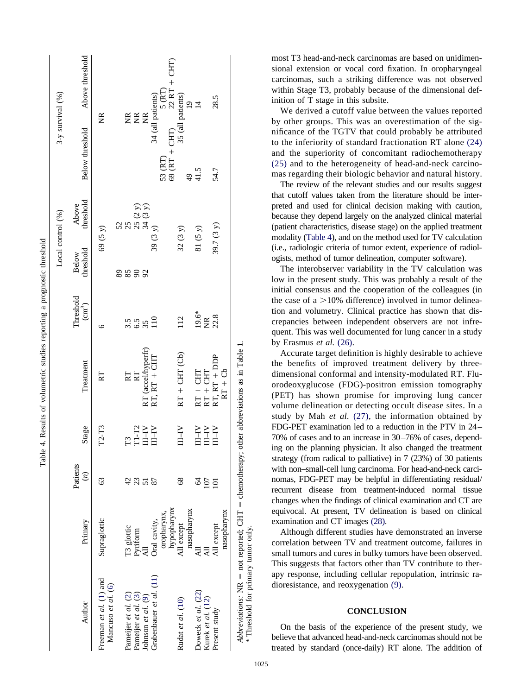<span id="page-7-0"></span>

|                                                                                          |              |                            |                                                                                                                                                                                   |                                    |                                         |                           | Local control (%)      | 3-y survival (%)                                                               |                 |
|------------------------------------------------------------------------------------------|--------------|----------------------------|-----------------------------------------------------------------------------------------------------------------------------------------------------------------------------------|------------------------------------|-----------------------------------------|---------------------------|------------------------|--------------------------------------------------------------------------------|-----------------|
| Author                                                                                   | Primary      | Patients<br>$\binom{n}{2}$ | Stage                                                                                                                                                                             | Treatment                          | Threshold<br>$\left(\text{cm}^3\right)$ | threshold<br><b>Below</b> | Above<br>threshold     | Below threshold                                                                | Above threshold |
| Freeman et $al.$ (1) and<br>Mancuso et al. (6)                                           | Supraglottic | S                          | $T2-T3$                                                                                                                                                                           | RT                                 | ७                                       |                           | 69(5y)                 | ž                                                                              |                 |
|                                                                                          |              |                            |                                                                                                                                                                                   |                                    |                                         |                           |                        |                                                                                |                 |
| Pameijer et al. (2)                                                                      | T3 glottic   |                            | $\mathbb{E}$                                                                                                                                                                      |                                    |                                         | 2282                      | 52<br>25               |                                                                                |                 |
| Pameijer et al. (3)                                                                      | Pyriform     | 42                         | $\begin{array}{c} \mathbf{T1}\text{-}\mathbf{T2} \\ \mathbf{III}\text{-}\mathbf{IV} \\ \mathbf{III}\text{-}\mathbf{IV} \end{array}$                                               | RT                                 | 3.5<br>3.5<br>3.5                       |                           |                        | EEE                                                                            |                 |
| Johnson et al. $(9)$                                                                     |              |                            |                                                                                                                                                                                   |                                    |                                         |                           | $25(2 y)$<br>$34(3 y)$ |                                                                                |                 |
| Grabenbauer et al. (11)                                                                  | Oral cavity, |                            |                                                                                                                                                                                   | RT (accel/hyperfr)<br>RT, RT + CHT | $\frac{1}{10}$                          |                           | 39 (3 y)               |                                                                                |                 |
|                                                                                          | oropharynx,  |                            |                                                                                                                                                                                   |                                    |                                         |                           |                        | 34 (all patients)<br>53 (RT)<br>69 (RT + CHT)<br>69 (RT + CHT)<br>22 RT + CHT) |                 |
|                                                                                          | hypopharynx  |                            |                                                                                                                                                                                   |                                    |                                         |                           |                        |                                                                                |                 |
| Rudat et al. (10)                                                                        | All except   | 68                         | $N-M$                                                                                                                                                                             | $RT + CHT (Cb)$                    | 112                                     |                           | 32(3y)                 | 35 (all patients)                                                              |                 |
|                                                                                          | nasopharynx  |                            |                                                                                                                                                                                   |                                    |                                         |                           |                        | $\frac{4}{9}$                                                                  |                 |
| Doweck et al. (22)                                                                       |              | 2                          |                                                                                                                                                                                   |                                    | $19.6*$                                 |                           | 81(5 y)                | 41.5                                                                           | $\overline{4}$  |
| Kurek et al. (12)                                                                        |              | 107                        | $\begin{array}{l} \displaystyle\prod_{i=1}^{N-1} \prod_{i=1}^{N} \\ \displaystyle\prod_{i=1}^{N-1} \prod_{i=1}^{N} \\ \displaystyle\prod_{i=1}^{N-1} \prod_{i=1}^{N} \end{array}$ | $RT + CHT$<br>$RT + CHT$           | <b>E</b> 22.8                           |                           |                        |                                                                                |                 |
| Present study                                                                            | All except   | $\overline{a}$             |                                                                                                                                                                                   | $RT$ , $RT + DDP$                  |                                         |                           | 39.7 (3 y)             | 54.7                                                                           | 28.5            |
|                                                                                          | nasopharynx  |                            |                                                                                                                                                                                   | $RT + Cb$                          |                                         |                           |                        |                                                                                |                 |
| Abbreviations: NR = not reported; CHT = chemotherapy; other abbreviations as in Table 1. |              |                            |                                                                                                                                                                                   |                                    |                                         |                           |                        |                                                                                |                 |
| * Threshold for primary tumor only.                                                      |              |                            |                                                                                                                                                                                   |                                    |                                         |                           |                        |                                                                                |                 |

Table 4. Results of volumetric studies reporting a prognostic threshold

Table 4. Results of volumetric studies reporting a prognostic threshold

most T3 head-and-neck carcinomas are based on unidimensional extension or vocal cord fixation. In oropharyngeal carcinomas, such a striking difference was not observed within Stage T3, probably because of the dimensional definition of T stage in this subsite.

We derived a cutoff value between the values reported by other groups. This was an overestimation of the significance of the TGTV that could probably be attributed to the inferiority of standard fractionation RT alone [\(24\)](#page-8-0) and the superiority of concomitant radiochemotherapy [\(25\)](#page-8-0) and to the heterogeneity of head-and-neck carcinomas regarding their biologic behavior and natural history.

The review of the relevant studies and our results suggest that cutoff values taken from the literature should be interpreted and used for clinical decision making with caution, because they depend largely on the analyzed clinical material (patient characteristics, disease stage) on the applied treatment modality (Table 4), and on the method used for TV calculation (i.e., radiologic criteria of tumor extent, experience of radiologists, method of tumor delineation, computer software).

The interobserver variability in the TV calculation was low in the present study. This was probably a result of the initial consensus and the cooperation of the colleagues (in the case of a  $>10\%$  difference) involved in tumor delineation and volumetry. Clinical practice has shown that discrepancies between independent observers are not infrequent. This was well documented for lung cancer in a study by Erasmus *et al.* [\(26\).](#page-8-0)

Accurate target definition is highly desirable to achieve the benefits of improved treatment delivery by threedimensional conformal and intensity-modulated RT. Fluorodeoxyglucose (FDG)-positron emission tomography (PET) has shown promise for improving lung cancer volume delineation or detecting occult disease sites. In a study by Mah *et al.* [\(27\),](#page-8-0) the information obtained by FDG-PET examination led to a reduction in the PTV in 24– 70% of cases and to an increase in 30–76% of cases, depending on the planning physician. It also changed the treatment strategy (from radical to palliative) in 7 (23%) of 30 patients with non–small-cell lung carcinoma. For head-and-neck carcinomas, FDG-PET may be helpful in differentiating residual/ recurrent disease from treatment-induced normal tissue changes when the findings of clinical examination and CT are equivocal. At present, TV delineation is based on clinical examination and CT images [\(28\).](#page-8-0)

Although different studies have demonstrated an inverse correlation between TV and treatment outcome, failures in small tumors and cures in bulky tumors have been observed. This suggests that factors other than TV contribute to therapy response, including cellular repopulation, intrinsic radioresistance, and reoxygenation [\(9\).](#page-8-0)

## **CONCLUSION**

On the basis of the experience of the present study, we believe that advanced head-and-neck carcinomas should not be treated by standard (once-daily) RT alone. The addition of